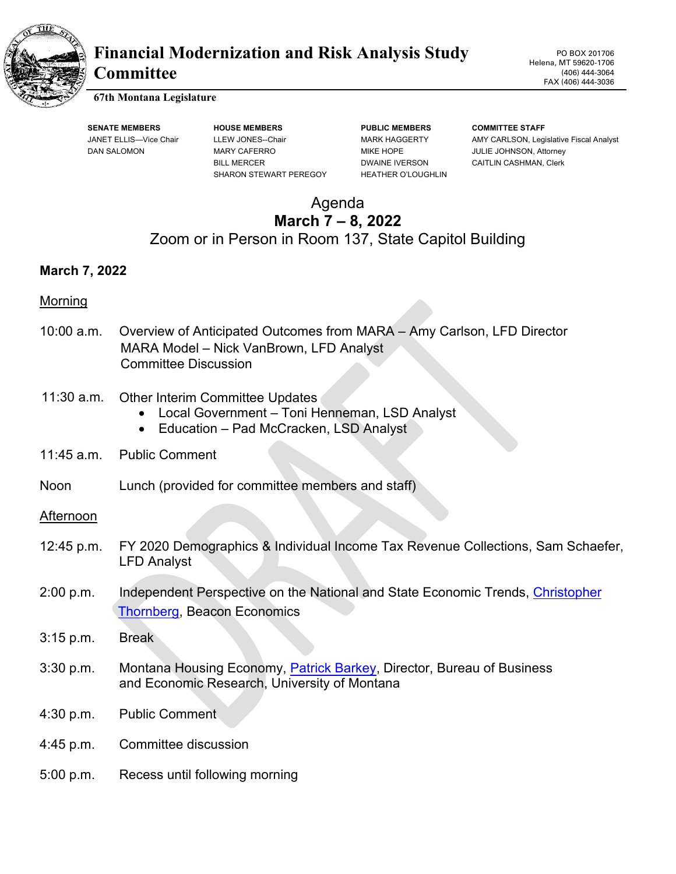

# **Financial Modernization and Risk Analysis Study Committee**

PO BOX 201706 Helena, MT 59620-1706 (406) 444-3064 FAX (406) 444-3036

#### **67th Montana Legislature**

**SENATE MEMBERS HOUSE MEMBERS PUBLIC MEMBERS COMMITTEE STAFF** DAN SALOMON MARY CAFERRO MIKE HOPE JULIE JOHNSON, Attorney BILL MERCER **DWAINE IVERSON** CAITLIN CASHMAN, Clerk SHARON STEWART PEREGOY HEATHER O'LOUGHLIN

JANET ELLIS—Vice Chair LLEW JONES--Chair MARK HAGGERTY AMY CARLSON, Legislative Fiscal Analyst

# Agenda **March 7 – 8, 2022** Zoom or in Person in Room 137, State Capitol Building

#### **March 7, 2022**

#### Morning

- 10:00 a.m. Overview of Anticipated Outcomes from MARA Amy Carlson, LFD Director MARA Model – Nick VanBrown, LFD Analyst Committee Discussion
- 11:30 a.m. Other Interim Committee Updates
	- Local Government Toni Henneman, LSD Analyst
	- Education Pad McCracken, LSD Analyst
- 11:45 a.m. Public Comment
- Noon Lunch (provided for committee members and staff)

Afternoon

- 12:45 p.m. FY 2020 Demographics & Individual Income Tax Revenue Collections, Sam Schaefer, LFD Analyst
- 2:00 p.m. Independent Perspective on the National and State Economic Trends, Christopher [Thornberg,](https://beaconecon.com/about-us/our-people/staff-bios/#christhornberg) Beacon Economics
- 3:15 p.m. Break
- 3:30 p.m. Montana Housing Economy, [Patrick Barkey,](http://www.bber.umt.edu/staff/barkey.asp) Director, Bureau of Business and Economic Research, University of Montana
- 4:30 p.m. Public Comment
- 4:45 p.m. Committee discussion
- 5:00 p.m. Recess until following morning